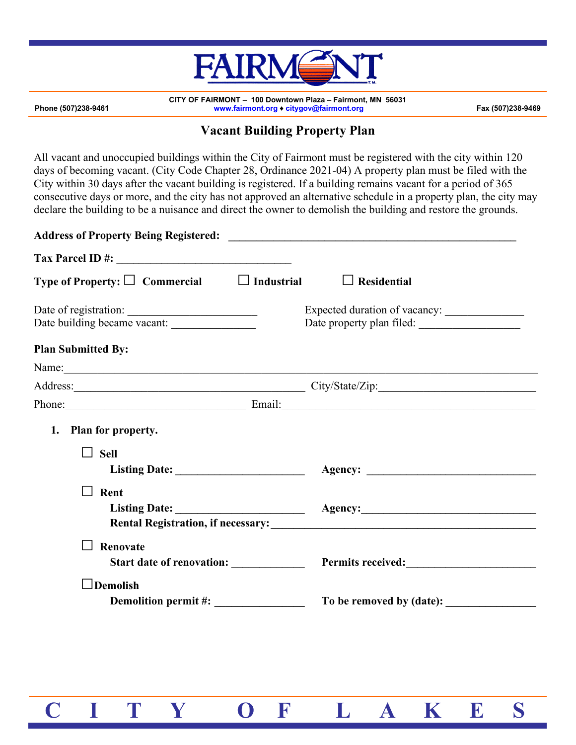

**CITY OF FAIRMONT – 100 Downtown Plaza – Fairmont, MN 56031 Phone (507)238-9461 www.fairmont.org ♦ citygov@fairmont.org Fax (507)238-9469**

## **Vacant Building Property Plan**

All vacant and unoccupied buildings within the City of Fairmont must be registered with the city within 120 days of becoming vacant. (City Code Chapter 28, Ordinance 2021-04) A property plan must be filed with the City within 30 days after the vacant building is registered. If a building remains vacant for a period of 365 consecutive days or more, and the city has not approved an alternative schedule in a property plan, the city may declare the building to be a nuisance and direct the owner to demolish the building and restore the grounds.

| Type of Property: $\square$ Commercial $\square$ Industrial             | $\Box$ Residential                                                                                                                                                                                                             |
|-------------------------------------------------------------------------|--------------------------------------------------------------------------------------------------------------------------------------------------------------------------------------------------------------------------------|
| Date of registration:<br>Date building became vacant: _________________ | Expected duration of vacancy:<br>Date property plan filed:                                                                                                                                                                     |
| <b>Plan Submitted By:</b>                                               |                                                                                                                                                                                                                                |
| Name: Name:                                                             |                                                                                                                                                                                                                                |
|                                                                         | Address: City/State/Zip:                                                                                                                                                                                                       |
|                                                                         | Phone: Email: Email: Email: Email: Email: Email: Email: Email: Email: Email: Email: Email: Email: Email: Email: Email: Email: Email: Email: Email: Email: Email: Email: Email: Email: Email: Email: Email: Email: Email: Email |
| 1. Plan for property.<br><b>Sell</b><br>$\Box$                          |                                                                                                                                                                                                                                |
| Rent                                                                    |                                                                                                                                                                                                                                |
| Renovate                                                                |                                                                                                                                                                                                                                |
| $\Box$ Demolish                                                         |                                                                                                                                                                                                                                |

 **C I T Y O F L A K E S**